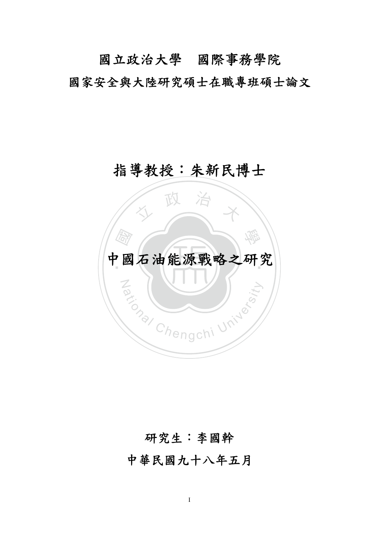國立政治大學國際事務學院 國家安全與大陸研究碩士在職專班碩士論文

# 指導教授:朱新民博士



## 研究生:李國幹

中華民國九十八年五月

I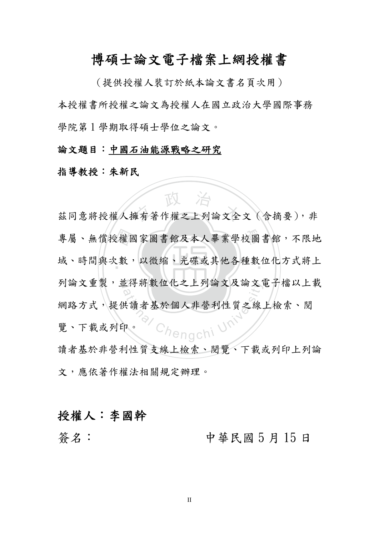## 博碩士論文電子檔案上網授權書

(提供授權人裝訂於紙本論文書名頁次用) 本授權書所授權之論文為授權人在國立政治大學國際事務 學院第1學期取得碩士學位之論文。

#### 論文題目:中國石油能源戰略之研究

### 指導教授:朱新民

專屬、無償授權國家圖書館及本人畢業學校圖書館,不限地<br>域、時間與次數,以微縮、光碟或其他各種數位化方式將上 **水 下人 治**<br>兹同意将授權人擁有著作權之上列論文全文(含摘要),非 域、時間與次數,以微縮、光碟或其他各種數位化方式將上 列論文重製,並得將數位化之上列論文及論文電子檔以上載 k行将数位化之上列論义及論义<br>adional Chengchi<br>#.讀者基於個人非營利性質之線.<br>policyportional Chengchi 網路方式,提供讀者基於個人非營利性質之線上檢索、閱 覽、下載或列印。

讀者基於非營利性質支線上檢索、閱覽、下載或列印上列論 文,應依著作權法相關規定辦理。

### 授權人:李國幹

簽名: 中華民國 5 月 15 日

II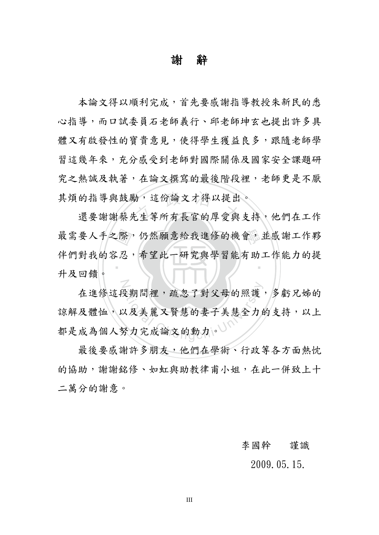### 謝辭

其煩的指導與鼓勵,這份論文才得以提出。<br>還要謝謝蔡先生等所有長官的厚愛與支持 本論文得以順利完成,首先要感謝指導教授朱新民的悉 心指導,而口試委員石老師義行、邱老師坤玄也提出許多具 體又有啟發性的寶貴意見,使得學生獲益良多,跟隨老師學 習這幾年來,充分感受到老師對國際關係及國家安全課題研 究之熱誠及執著,在論文撰寫的最後階段裡,老師更是不厭

深忍 最需要人手之際,仍然願意給我進修的機會,並感謝工作夥 ‧ 還要謝謝蔡先生等所有長官的厚愛與支持,他們在工作 伴們對我的容忍,希望此一研究與學習能有助工作能力的提 升及回饋。

N 是期間裡,疏忽了對父母的照護<br><br><br>又及美麗又賢慧的妻子美慧全力的<br> 在進修這段期間裡,疏忽了對父母的照護,多虧兄姊的 諒解及體恤,以及美麗又賢慧的妻子美慧全力的支持,以上 都是成為個人努力完成論文的動力。

最後要感謝許多朋友,他們在學術、行政等各方面熱忱 的協助,謝謝銘修、如虹與助教律甫小姐,在此一併致上十 二萬分的謝意。

#### 李國幹 謹識

#### 2009.05.15.

III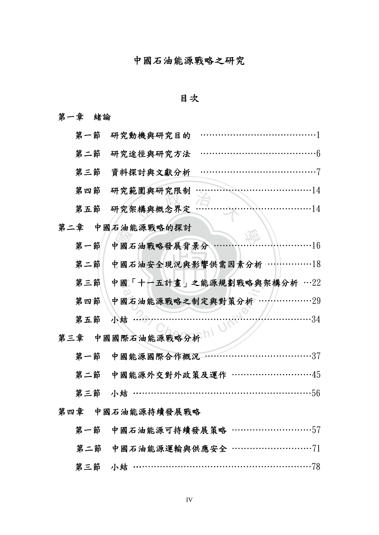### 中國石油能源戰略之研究

### 目次

### 第一章 緒論

| 第一節<br>研究動機與研究目的                      |
|---------------------------------------|
| 第二節<br>研究途徑與研究方法                      |
| 第三節<br>資料探討與文獻分析                      |
| 研究範圍與研究限制<br>. 14<br>第四節              |
| . 14<br>第五節<br>研究架構與概念界定              |
| 第二章<br>中國石油能源戰略的探討                    |
| 第一節<br>中國石油戰略發展背景分<br>$\cdots$ 16     |
| 中國石油安全現況與影響供需因素分析<br>第二節              |
| 第三節<br>中國「十一五計畫」之能源規劃戰略與架構分析 …22      |
| 第四節<br>中國石油能源戰略之制定與對策分析<br>.29        |
| $\cdots$ 34<br>第五節<br>小結              |
| 中國國際石油能源戰略分析<br>第三章                   |
| 第一節<br>中國能源國際合作概況<br>. 37<br><u>.</u> |
| 第二節<br>中國能源外交對外政策及運作 ………………………45      |
| $\cdot 56$<br>第三節<br>小結               |
| 第四章<br>中國石油能源持續發展戰略                   |
| 第一節 中國石油能源可持續發展策略 …………………………57        |
| 第二節 中國石油能源運輸與供應安全 …………………………71        |
|                                       |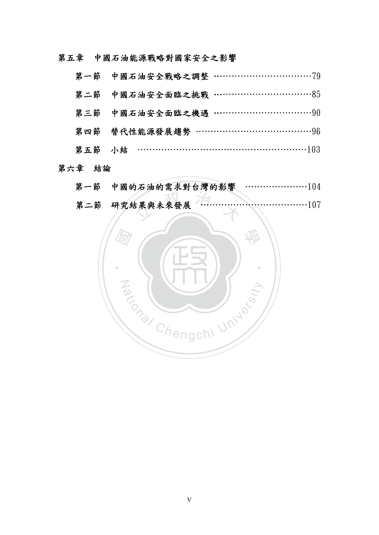第五章 中國石油能源戰略對國家安全之影響

| 第二節 中國石油安全面臨之挑戰 ……………………………85   |
|---------------------------------|
| 第三節 中國石油安全面臨之機遇 …………………………………90 |
| 第四節 替代性能源發展趨勢 ………………………………………96 |
| 第五節 小結 …………………………………………………103   |
|                                 |

第六章 結論

| 第一節 中國的石油的需求對台灣的影響            |
|-------------------------------|
| 第二節 研究結果與未來發展 ………………………………107 |
|                               |

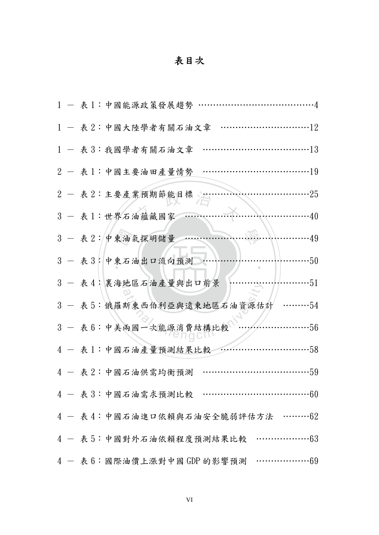# 表目次

|  | 1 - 表1:中國能源政策發展趨勢                                       |
|--|---------------------------------------------------------|
|  | 1 - 表2:中國大陸學者有關石油文章                                     |
|  | 1 - 表3:我國學者有關石油文章                                       |
|  | 2 - 表1:中國主要油田產量情勢                                       |
|  | . 25<br>2 - 表 2:主要產業預期節能目標。…                            |
|  | $\cdots \cdots \cdots 40$<br>3 - 表1:世界石油蘊藏國家            |
|  | 3 - 表 2: 中東油氣探明儲量<br>$\cdots\cdots\cdots 49$            |
|  | 3 - 表3:中東石油出口流向預測<br>$\cdots\cdots\cdot 50$             |
|  | 3 - 表4:裏海地區石油產量與出口前景<br>$\cdots \cdots 51$              |
|  | 3 - 表5:俄羅斯東西伯利亞與遠東地區石油資源估計<br>$\cdots\cdots\cdots54$    |
|  | 3 - 表 6: 中美兩國一次能源消費結構比較<br>$\cdots 56$                  |
|  | 4 - 表1:中國石油產量預測結果比較<br>$\cdots \cdots \cdots \cdots 58$ |
|  | 4 - 表2:中國石油供需均衡預測<br>. 59                               |
|  | 4 - 表 3: 中國石油需求預測比較 …………………………………60                     |
|  | 4 - 表4:中國石油進口依賴與石油安全脆弱評估方法 ………62                        |
|  | 4 - 表 5: 中國對外石油依賴程度預測結果比較 …………………63                     |
|  | 4 - 表 6: 國際油價上漲對中國 GDP 的影響預測 …………………69                  |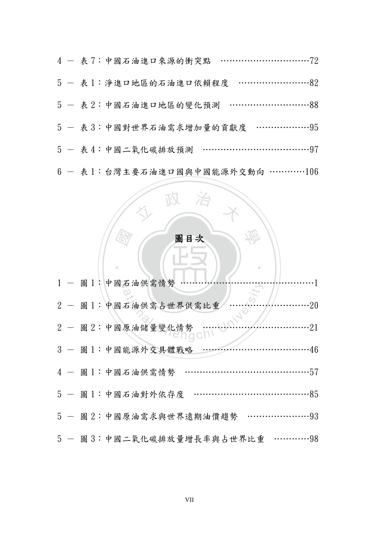|  | 5 - 表1:淨進口地區的石油進口依賴程度 ………………………82           |
|--|---------------------------------------------|
|  | 5 - 表2:中國石油進口地區的變化預測 ………………………88            |
|  | 5 - 表 3: 中國對世界石油需求增加量的貢獻度 …………………95         |
|  | 5 - 表4:中國二氧化碳排放預測 …………………………………97           |
|  | $6 - \bar{k}$ 1: 台灣主要石油進口國與中國能源外交動向 …………106 |

### 圖目次

Ĵ

學

‧

人 政 治 木

ī

公

|  | 1 - 圖 1: 中國石油供需情勢 ………                                       |
|--|-------------------------------------------------------------|
|  | 2 - 圖1:中國石油供需占世界供需比重<br>$\cdots \cdots \cdot 20$            |
|  | $\cdots \cdots \cdots \cdot 21$<br>$2 - 12 :$ 中國原油儲量變化情勢 …… |
|  | 3 - 圖1:中國能源外交具體戰略                                           |
|  | 4 - 圖1:中國石油供需情勢                                             |
|  | 5 - 圖1:中國石油對外依存度<br>85                                      |
|  | 5 - 圖2:中國原油需求與世界遠期油價趨勢                                      |
|  | 5 - 圖3:中國二氧化碳排放量增長率與占世界比重<br>. 98                           |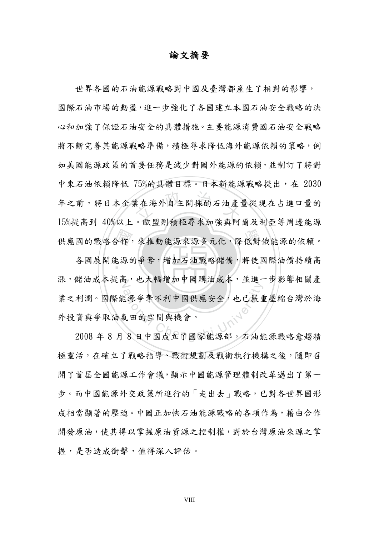### 論文摘要

**"在海外自主開採的石油產** 供應國的戰略合作,來推動能源來源多元化,降低對俄能源的依賴。 世界各國的石油能源戰略對中國及臺灣都產生了相對的影響, 國際石油市場的動盪,進一步強化了各國建立本國石油安全戰略的決 心和加強了保證石油安全的具體措施。主要能源消費國石油安全戰略 將不斷完善其能源戰略準備,積極尋求降低海外能源依賴的策略,例 如美國能源政策的首要任務是減少對國外能源的依賴,並制訂了將對 中東石油依賴降低 75%的具體目標。日本新能源戰略提出,在 2030 年之前,將日本企業在海外自主開採的石油產量從現在占進口量的 15%提高到 40%以上。歐盟則積極尋求加強與阿爾及利亞等周邊能源

合作:<br>長源自 各國展開能源的爭奪,增加石油戰略儲備,將使國際油價持續高 漲,儲油成本提高,也大幅增加中國購油成本,並進一步影響相關產 ational Chengchi University Theory Theory Theory Theory Theory Theory Theory Theory Theory Theory Theory Theor<br>3. 1999年 国際能源爭奪不利中國供應安全,也已嚴重壓縮台灣於海<br>2008年 8 月 8 日中國成立了國家能源部,石油能源戰略愈趨積 業之利潤。國際能源爭奪不利中國供應安全,也已嚴重壓縮台灣於海 外投資與爭取油氣田的空間與機會。

極靈活,在確立了戰略指導、戰術規劃及戰術執行機構之後,隨即召 開了首屆全國能源工作會議,顯示中國能源管理體制改革邁出了第一 步。而中國能源外交政策所進行的「走出去」戰略,已對各世界國形 成相當顯著的壓迫。中國正加快石油能源戰略的各項作為,藉由合作 開發原油,使其得以掌握原油資源之控制權,對於台灣原油來源之掌 握,是否造成衝擊,值得深入評估。

VIII